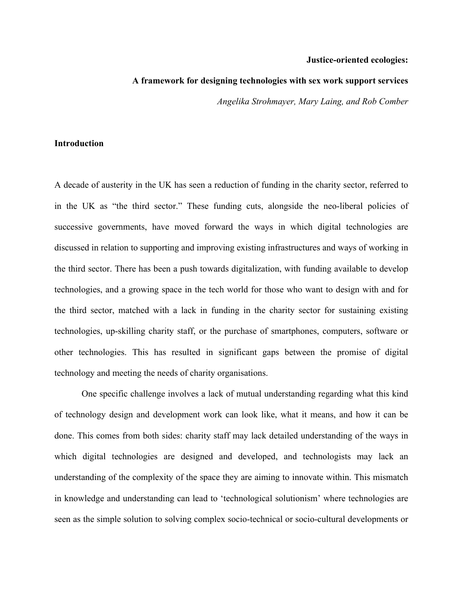## **Justice-oriented ecologies:**

#### **A framework for designing technologies with sex work support services**

*Angelika Strohmayer, Mary Laing, and Rob Comber*

## **Introduction**

A decade of austerity in the UK has seen a reduction of funding in the charity sector, referred to in the UK as "the third sector." These funding cuts, alongside the neo-liberal policies of successive governments, have moved forward the ways in which digital technologies are discussed in relation to supporting and improving existing infrastructures and ways of working in the third sector. There has been a push towards digitalization, with funding available to develop technologies, and a growing space in the tech world for those who want to design with and for the third sector, matched with a lack in funding in the charity sector for sustaining existing technologies, up-skilling charity staff, or the purchase of smartphones, computers, software or other technologies. This has resulted in significant gaps between the promise of digital technology and meeting the needs of charity organisations.

One specific challenge involves a lack of mutual understanding regarding what this kind of technology design and development work can look like, what it means, and how it can be done. This comes from both sides: charity staff may lack detailed understanding of the ways in which digital technologies are designed and developed, and technologists may lack an understanding of the complexity of the space they are aiming to innovate within. This mismatch in knowledge and understanding can lead to 'technological solutionism' where technologies are seen as the simple solution to solving complex socio-technical or socio-cultural developments or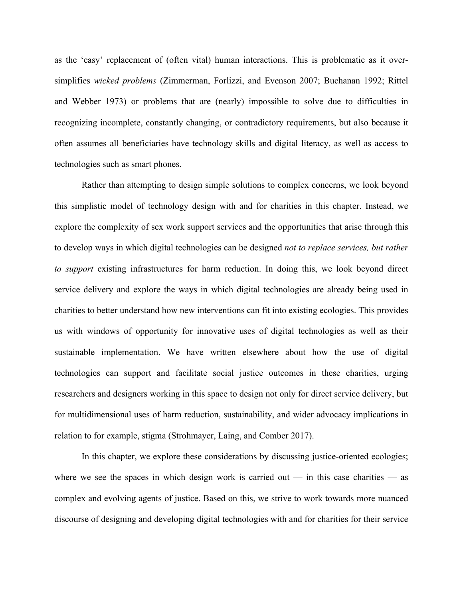as the 'easy' replacement of (often vital) human interactions. This is problematic as it oversimplifies *wicked problems* (Zimmerman, Forlizzi, and Evenson 2007; Buchanan 1992; Rittel and Webber 1973) or problems that are (nearly) impossible to solve due to difficulties in recognizing incomplete, constantly changing, or contradictory requirements, but also because it often assumes all beneficiaries have technology skills and digital literacy, as well as access to technologies such as smart phones.

Rather than attempting to design simple solutions to complex concerns, we look beyond this simplistic model of technology design with and for charities in this chapter. Instead, we explore the complexity of sex work support services and the opportunities that arise through this to develop ways in which digital technologies can be designed *not to replace services, but rather to support* existing infrastructures for harm reduction. In doing this, we look beyond direct service delivery and explore the ways in which digital technologies are already being used in charities to better understand how new interventions can fit into existing ecologies. This provides us with windows of opportunity for innovative uses of digital technologies as well as their sustainable implementation. We have written elsewhere about how the use of digital technologies can support and facilitate social justice outcomes in these charities, urging researchers and designers working in this space to design not only for direct service delivery, but for multidimensional uses of harm reduction, sustainability, and wider advocacy implications in relation to for example, stigma (Strohmayer, Laing, and Comber 2017).

In this chapter, we explore these considerations by discussing justice-oriented ecologies; where we see the spaces in which design work is carried out — in this case charities — as complex and evolving agents of justice. Based on this, we strive to work towards more nuanced discourse of designing and developing digital technologies with and for charities for their service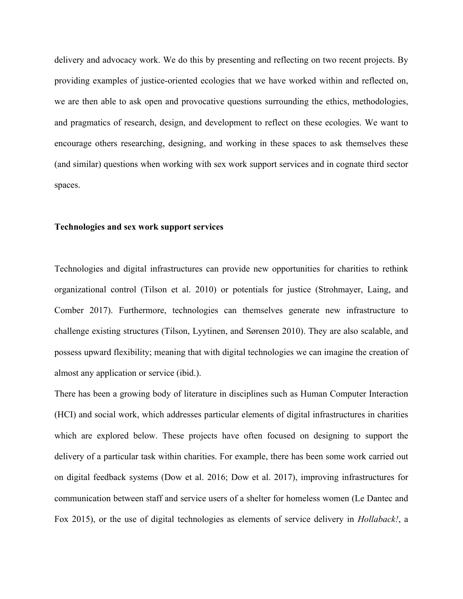delivery and advocacy work. We do this by presenting and reflecting on two recent projects. By providing examples of justice-oriented ecologies that we have worked within and reflected on, we are then able to ask open and provocative questions surrounding the ethics, methodologies, and pragmatics of research, design, and development to reflect on these ecologies. We want to encourage others researching, designing, and working in these spaces to ask themselves these (and similar) questions when working with sex work support services and in cognate third sector spaces.

## **Technologies and sex work support services**

Technologies and digital infrastructures can provide new opportunities for charities to rethink organizational control (Tilson et al. 2010) or potentials for justice (Strohmayer, Laing, and Comber 2017). Furthermore, technologies can themselves generate new infrastructure to challenge existing structures (Tilson, Lyytinen, and Sørensen 2010). They are also scalable, and possess upward flexibility; meaning that with digital technologies we can imagine the creation of almost any application or service (ibid.).

There has been a growing body of literature in disciplines such as Human Computer Interaction (HCI) and social work, which addresses particular elements of digital infrastructures in charities which are explored below. These projects have often focused on designing to support the delivery of a particular task within charities. For example, there has been some work carried out on digital feedback systems (Dow et al. 2016; Dow et al. 2017), improving infrastructures for communication between staff and service users of a shelter for homeless women (Le Dantec and Fox 2015), or the use of digital technologies as elements of service delivery in *Hollaback!*, a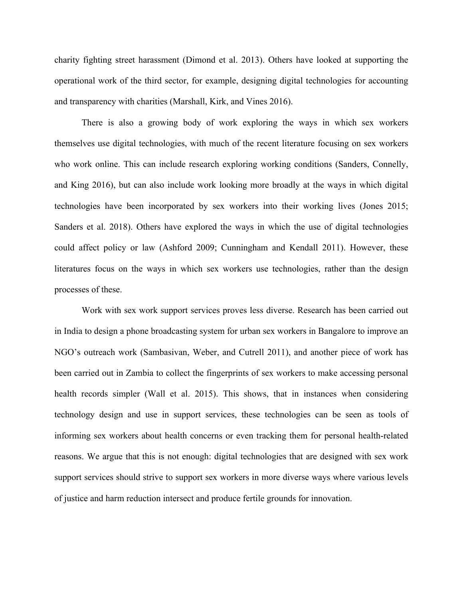charity fighting street harassment (Dimond et al. 2013). Others have looked at supporting the operational work of the third sector, for example, designing digital technologies for accounting and transparency with charities (Marshall, Kirk, and Vines 2016).

There is also a growing body of work exploring the ways in which sex workers themselves use digital technologies, with much of the recent literature focusing on sex workers who work online. This can include research exploring working conditions (Sanders, Connelly, and King 2016), but can also include work looking more broadly at the ways in which digital technologies have been incorporated by sex workers into their working lives (Jones 2015; Sanders et al. 2018). Others have explored the ways in which the use of digital technologies could affect policy or law (Ashford 2009; Cunningham and Kendall 2011). However, these literatures focus on the ways in which sex workers use technologies, rather than the design processes of these.

Work with sex work support services proves less diverse. Research has been carried out in India to design a phone broadcasting system for urban sex workers in Bangalore to improve an NGO's outreach work (Sambasivan, Weber, and Cutrell 2011), and another piece of work has been carried out in Zambia to collect the fingerprints of sex workers to make accessing personal health records simpler (Wall et al. 2015). This shows, that in instances when considering technology design and use in support services, these technologies can be seen as tools of informing sex workers about health concerns or even tracking them for personal health-related reasons. We argue that this is not enough: digital technologies that are designed with sex work support services should strive to support sex workers in more diverse ways where various levels of justice and harm reduction intersect and produce fertile grounds for innovation.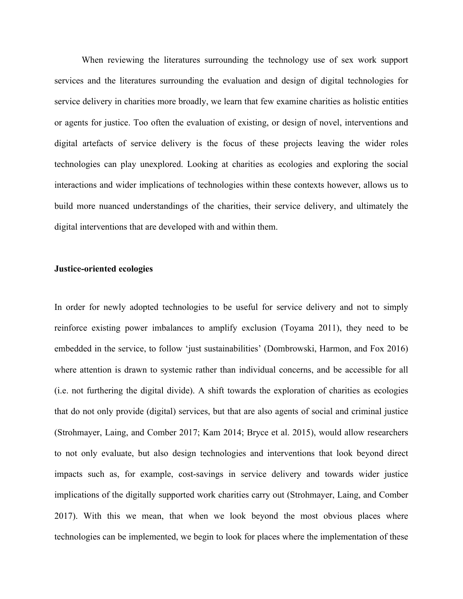When reviewing the literatures surrounding the technology use of sex work support services and the literatures surrounding the evaluation and design of digital technologies for service delivery in charities more broadly, we learn that few examine charities as holistic entities or agents for justice. Too often the evaluation of existing, or design of novel, interventions and digital artefacts of service delivery is the focus of these projects leaving the wider roles technologies can play unexplored. Looking at charities as ecologies and exploring the social interactions and wider implications of technologies within these contexts however, allows us to build more nuanced understandings of the charities, their service delivery, and ultimately the digital interventions that are developed with and within them.

## **Justice-oriented ecologies**

In order for newly adopted technologies to be useful for service delivery and not to simply reinforce existing power imbalances to amplify exclusion (Toyama 2011), they need to be embedded in the service, to follow 'just sustainabilities' (Dombrowski, Harmon, and Fox 2016) where attention is drawn to systemic rather than individual concerns, and be accessible for all (i.e. not furthering the digital divide). A shift towards the exploration of charities as ecologies that do not only provide (digital) services, but that are also agents of social and criminal justice (Strohmayer, Laing, and Comber 2017; Kam 2014; Bryce et al. 2015), would allow researchers to not only evaluate, but also design technologies and interventions that look beyond direct impacts such as, for example, cost-savings in service delivery and towards wider justice implications of the digitally supported work charities carry out (Strohmayer, Laing, and Comber 2017). With this we mean, that when we look beyond the most obvious places where technologies can be implemented, we begin to look for places where the implementation of these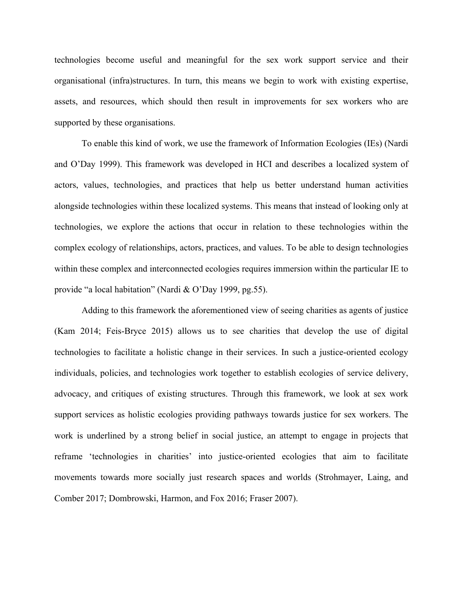technologies become useful and meaningful for the sex work support service and their organisational (infra)structures. In turn, this means we begin to work with existing expertise, assets, and resources, which should then result in improvements for sex workers who are supported by these organisations.

To enable this kind of work, we use the framework of Information Ecologies (IEs) (Nardi and O'Day 1999). This framework was developed in HCI and describes a localized system of actors, values, technologies, and practices that help us better understand human activities alongside technologies within these localized systems. This means that instead of looking only at technologies, we explore the actions that occur in relation to these technologies within the complex ecology of relationships, actors, practices, and values. To be able to design technologies within these complex and interconnected ecologies requires immersion within the particular IE to provide "a local habitation" (Nardi & O'Day 1999, pg.55).

Adding to this framework the aforementioned view of seeing charities as agents of justice (Kam 2014; Feis-Bryce 2015) allows us to see charities that develop the use of digital technologies to facilitate a holistic change in their services. In such a justice-oriented ecology individuals, policies, and technologies work together to establish ecologies of service delivery, advocacy, and critiques of existing structures. Through this framework, we look at sex work support services as holistic ecologies providing pathways towards justice for sex workers. The work is underlined by a strong belief in social justice, an attempt to engage in projects that reframe 'technologies in charities' into justice-oriented ecologies that aim to facilitate movements towards more socially just research spaces and worlds (Strohmayer, Laing, and Comber 2017; Dombrowski, Harmon, and Fox 2016; Fraser 2007).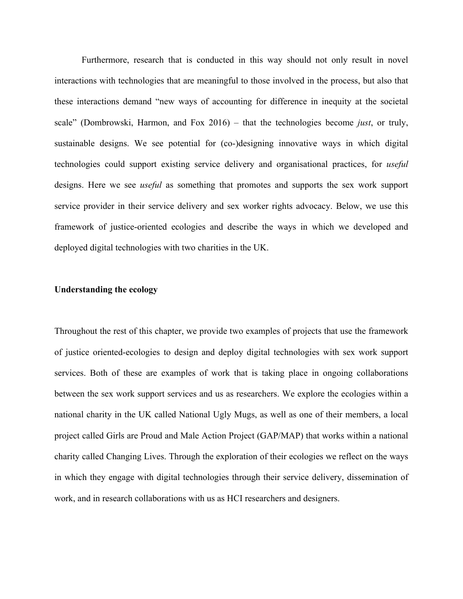Furthermore, research that is conducted in this way should not only result in novel interactions with technologies that are meaningful to those involved in the process, but also that these interactions demand "new ways of accounting for difference in inequity at the societal scale" (Dombrowski, Harmon, and Fox 2016) – that the technologies become *just*, or truly, sustainable designs. We see potential for (co-)designing innovative ways in which digital technologies could support existing service delivery and organisational practices, for *useful*  designs. Here we see *useful* as something that promotes and supports the sex work support service provider in their service delivery and sex worker rights advocacy. Below, we use this framework of justice-oriented ecologies and describe the ways in which we developed and deployed digital technologies with two charities in the UK.

## **Understanding the ecology**

Throughout the rest of this chapter, we provide two examples of projects that use the framework of justice oriented-ecologies to design and deploy digital technologies with sex work support services. Both of these are examples of work that is taking place in ongoing collaborations between the sex work support services and us as researchers. We explore the ecologies within a national charity in the UK called National Ugly Mugs, as well as one of their members, a local project called Girls are Proud and Male Action Project (GAP/MAP) that works within a national charity called Changing Lives. Through the exploration of their ecologies we reflect on the ways in which they engage with digital technologies through their service delivery, dissemination of work, and in research collaborations with us as HCI researchers and designers.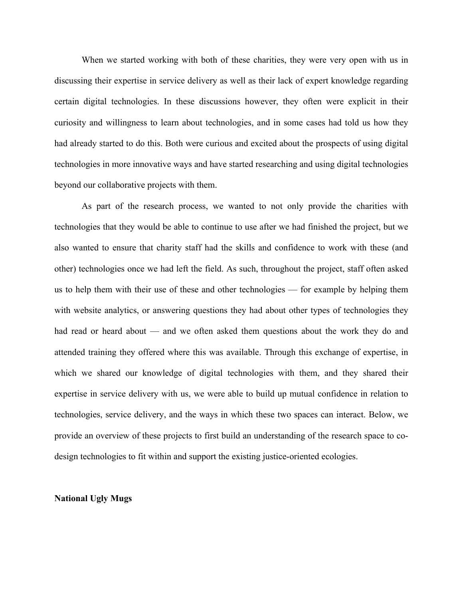When we started working with both of these charities, they were very open with us in discussing their expertise in service delivery as well as their lack of expert knowledge regarding certain digital technologies. In these discussions however, they often were explicit in their curiosity and willingness to learn about technologies, and in some cases had told us how they had already started to do this. Both were curious and excited about the prospects of using digital technologies in more innovative ways and have started researching and using digital technologies beyond our collaborative projects with them.

As part of the research process, we wanted to not only provide the charities with technologies that they would be able to continue to use after we had finished the project, but we also wanted to ensure that charity staff had the skills and confidence to work with these (and other) technologies once we had left the field. As such, throughout the project, staff often asked us to help them with their use of these and other technologies — for example by helping them with website analytics, or answering questions they had about other types of technologies they had read or heard about — and we often asked them questions about the work they do and attended training they offered where this was available. Through this exchange of expertise, in which we shared our knowledge of digital technologies with them, and they shared their expertise in service delivery with us, we were able to build up mutual confidence in relation to technologies, service delivery, and the ways in which these two spaces can interact. Below, we provide an overview of these projects to first build an understanding of the research space to codesign technologies to fit within and support the existing justice-oriented ecologies.

#### **National Ugly Mugs**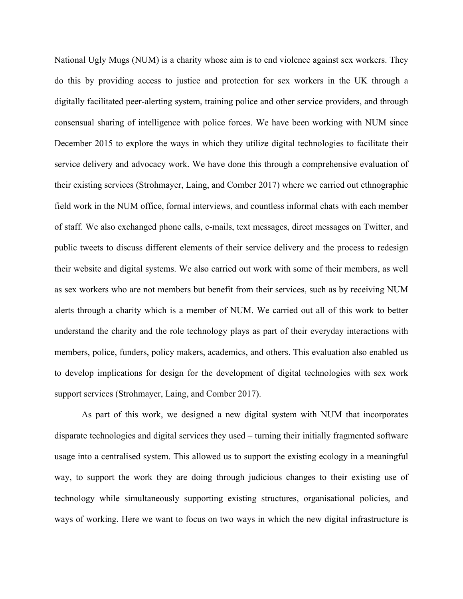National Ugly Mugs (NUM) is a charity whose aim is to end violence against sex workers. They do this by providing access to justice and protection for sex workers in the UK through a digitally facilitated peer-alerting system, training police and other service providers, and through consensual sharing of intelligence with police forces. We have been working with NUM since December 2015 to explore the ways in which they utilize digital technologies to facilitate their service delivery and advocacy work. We have done this through a comprehensive evaluation of their existing services (Strohmayer, Laing, and Comber 2017) where we carried out ethnographic field work in the NUM office, formal interviews, and countless informal chats with each member of staff. We also exchanged phone calls, e-mails, text messages, direct messages on Twitter, and public tweets to discuss different elements of their service delivery and the process to redesign their website and digital systems. We also carried out work with some of their members, as well as sex workers who are not members but benefit from their services, such as by receiving NUM alerts through a charity which is a member of NUM. We carried out all of this work to better understand the charity and the role technology plays as part of their everyday interactions with members, police, funders, policy makers, academics, and others. This evaluation also enabled us to develop implications for design for the development of digital technologies with sex work support services (Strohmayer, Laing, and Comber 2017).

As part of this work, we designed a new digital system with NUM that incorporates disparate technologies and digital services they used – turning their initially fragmented software usage into a centralised system. This allowed us to support the existing ecology in a meaningful way, to support the work they are doing through judicious changes to their existing use of technology while simultaneously supporting existing structures, organisational policies, and ways of working. Here we want to focus on two ways in which the new digital infrastructure is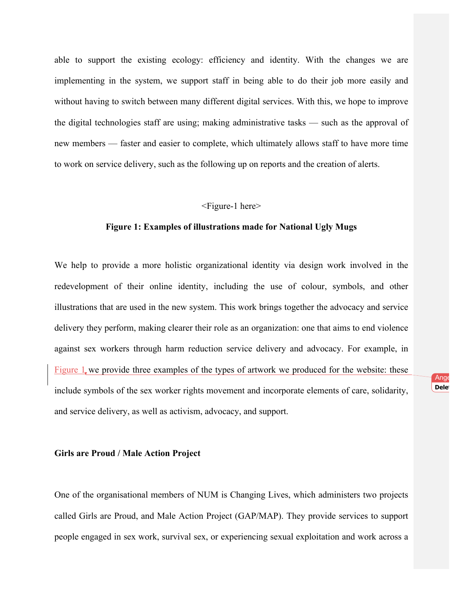able to support the existing ecology: efficiency and identity. With the changes we are implementing in the system, we support staff in being able to do their job more easily and without having to switch between many different digital services. With this, we hope to improve the digital technologies staff are using; making administrative tasks — such as the approval of new members — faster and easier to complete, which ultimately allows staff to have more time to work on service delivery, such as the following up on reports and the creation of alerts.

## <Figure-1 here>

## **Figure 1: Examples of illustrations made for National Ugly Mugs**

We help to provide a more holistic organizational identity via design work involved in the redevelopment of their online identity, including the use of colour, symbols, and other illustrations that are used in the new system. This work brings together the advocacy and service delivery they perform, making clearer their role as an organization: one that aims to end violence against sex workers through harm reduction service delivery and advocacy. For example, in Figure 1, we provide three examples of the types of artwork we produced for the website: these include symbols of the sex worker rights movement and incorporate elements of care, solidarity, and service delivery, as well as activism, advocacy, and support.

## **Girls are Proud / Male Action Project**

One of the organisational members of NUM is Changing Lives, which administers two projects called Girls are Proud, and Male Action Project (GAP/MAP). They provide services to support people engaged in sex work, survival sex, or experiencing sexual exploitation and work across a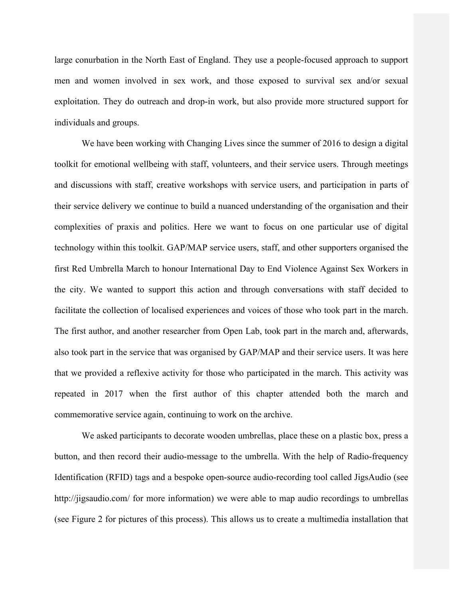large conurbation in the North East of England. They use a people-focused approach to support men and women involved in sex work, and those exposed to survival sex and/or sexual exploitation. They do outreach and drop-in work, but also provide more structured support for individuals and groups.

We have been working with Changing Lives since the summer of 2016 to design a digital toolkit for emotional wellbeing with staff, volunteers, and their service users. Through meetings and discussions with staff, creative workshops with service users, and participation in parts of their service delivery we continue to build a nuanced understanding of the organisation and their complexities of praxis and politics. Here we want to focus on one particular use of digital technology within this toolkit. GAP/MAP service users, staff, and other supporters organised the first Red Umbrella March to honour International Day to End Violence Against Sex Workers in the city. We wanted to support this action and through conversations with staff decided to facilitate the collection of localised experiences and voices of those who took part in the march. The first author, and another researcher from Open Lab, took part in the march and, afterwards, also took part in the service that was organised by GAP/MAP and their service users. It was here that we provided a reflexive activity for those who participated in the march. This activity was repeated in 2017 when the first author of this chapter attended both the march and commemorative service again, continuing to work on the archive.

We asked participants to decorate wooden umbrellas, place these on a plastic box, press a button, and then record their audio-message to the umbrella. With the help of Radio-frequency Identification (RFID) tags and a bespoke open-source audio-recording tool called JigsAudio (see http://jigsaudio.com/ for more information) we were able to map audio recordings to umbrellas (see Figure 2 for pictures of this process). This allows us to create a multimedia installation that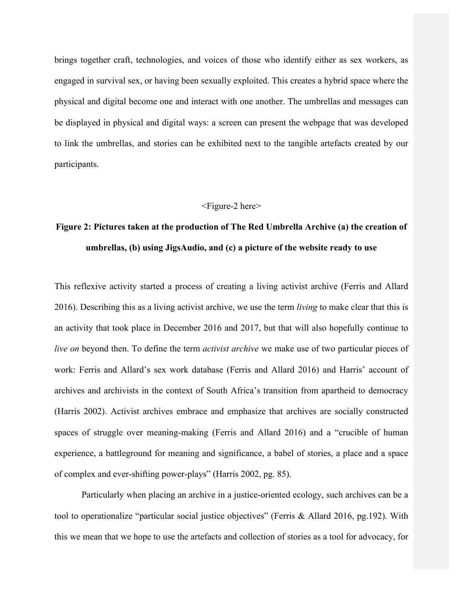brings together craft, technologies, and voices of those who identify either as sex workers, as engaged in survival sex, or having been sexually exploited. This creates a hybrid space where the physical and digital become one and interact with one another. The umbrellas and messages can be displayed in physical and digital ways: a screen can present the webpage that was developed to link the umbrellas, and stories can be exhibited next to the tangible artefacts created by our participants.

#### <Figure-2 here>

# **Figure 2: Pictures taken at the production of The Red Umbrella Archive (a) the creation of umbrellas, (b) using JigsAudio, and (c) a picture of the website ready to use**

This reflexive activity started a process of creating a living activist archive (Ferris and Allard 2016). Describing this as a living activist archive, we use the term *living* to make clear that this is an activity that took place in December 2016 and 2017, but that will also hopefully continue to *live on* beyond then. To define the term *activist archive* we make use of two particular pieces of work: Ferris and Allard's sex work database (Ferris and Allard 2016) and Harris' account of archives and archivists in the context of South Africa's transition from apartheid to democracy (Harris 2002). Activist archives embrace and emphasize that archives are socially constructed spaces of struggle over meaning-making (Ferris and Allard 2016) and a "crucible of human experience, a battleground for meaning and significance, a babel of stories, a place and a space of complex and ever-shifting power-plays" (Harris 2002, pg. 85).

Particularly when placing an archive in a justice-oriented ecology, such archives can be a tool to operationalize "particular social justice objectives" (Ferris & Allard 2016, pg.192). With this we mean that we hope to use the artefacts and collection of stories as a tool for advocacy, for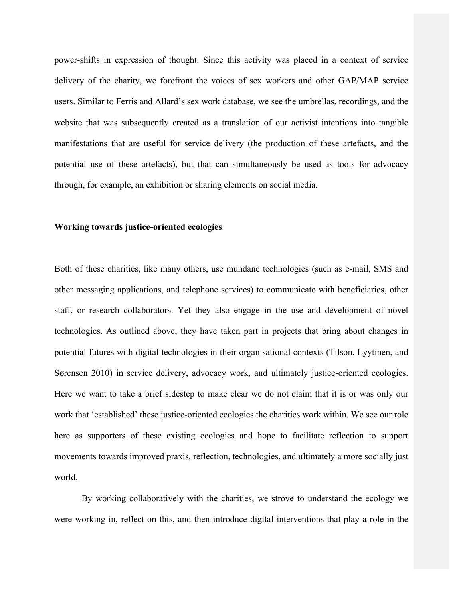power-shifts in expression of thought. Since this activity was placed in a context of service delivery of the charity, we forefront the voices of sex workers and other GAP/MAP service users. Similar to Ferris and Allard's sex work database, we see the umbrellas, recordings, and the website that was subsequently created as a translation of our activist intentions into tangible manifestations that are useful for service delivery (the production of these artefacts, and the potential use of these artefacts), but that can simultaneously be used as tools for advocacy through, for example, an exhibition or sharing elements on social media.

## **Working towards justice-oriented ecologies**

Both of these charities, like many others, use mundane technologies (such as e-mail, SMS and other messaging applications, and telephone services) to communicate with beneficiaries, other staff, or research collaborators. Yet they also engage in the use and development of novel technologies. As outlined above, they have taken part in projects that bring about changes in potential futures with digital technologies in their organisational contexts (Tilson, Lyytinen, and Sørensen 2010) in service delivery, advocacy work, and ultimately justice-oriented ecologies. Here we want to take a brief sidestep to make clear we do not claim that it is or was only our work that 'established' these justice-oriented ecologies the charities work within. We see our role here as supporters of these existing ecologies and hope to facilitate reflection to support movements towards improved praxis, reflection, technologies, and ultimately a more socially just world.

By working collaboratively with the charities, we strove to understand the ecology we were working in, reflect on this, and then introduce digital interventions that play a role in the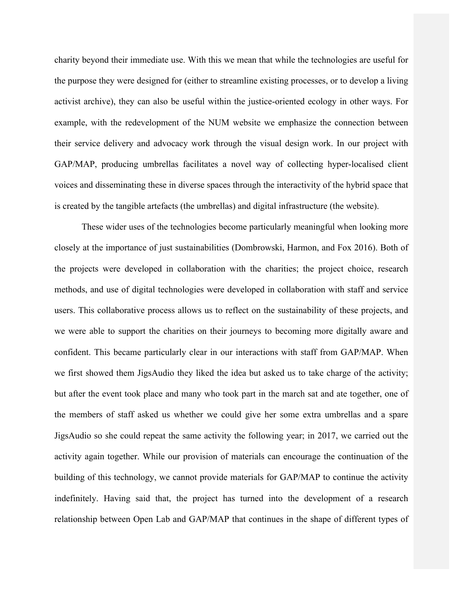charity beyond their immediate use. With this we mean that while the technologies are useful for the purpose they were designed for (either to streamline existing processes, or to develop a living activist archive), they can also be useful within the justice-oriented ecology in other ways. For example, with the redevelopment of the NUM website we emphasize the connection between their service delivery and advocacy work through the visual design work. In our project with GAP/MAP, producing umbrellas facilitates a novel way of collecting hyper-localised client voices and disseminating these in diverse spaces through the interactivity of the hybrid space that is created by the tangible artefacts (the umbrellas) and digital infrastructure (the website).

These wider uses of the technologies become particularly meaningful when looking more closely at the importance of just sustainabilities (Dombrowski, Harmon, and Fox 2016). Both of the projects were developed in collaboration with the charities; the project choice, research methods, and use of digital technologies were developed in collaboration with staff and service users. This collaborative process allows us to reflect on the sustainability of these projects, and we were able to support the charities on their journeys to becoming more digitally aware and confident. This became particularly clear in our interactions with staff from GAP/MAP. When we first showed them JigsAudio they liked the idea but asked us to take charge of the activity; but after the event took place and many who took part in the march sat and ate together, one of the members of staff asked us whether we could give her some extra umbrellas and a spare JigsAudio so she could repeat the same activity the following year; in 2017, we carried out the activity again together. While our provision of materials can encourage the continuation of the building of this technology, we cannot provide materials for GAP/MAP to continue the activity indefinitely. Having said that, the project has turned into the development of a research relationship between Open Lab and GAP/MAP that continues in the shape of different types of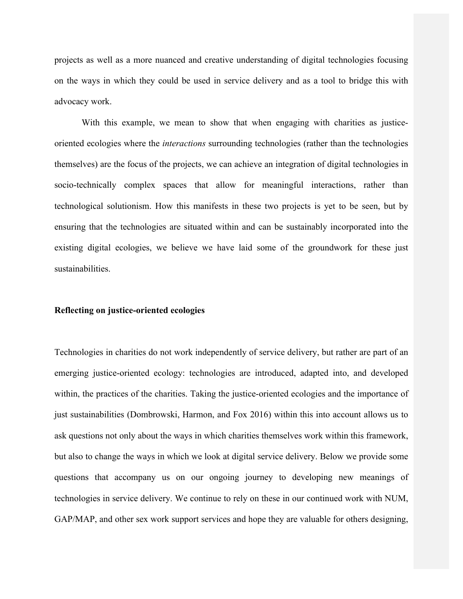projects as well as a more nuanced and creative understanding of digital technologies focusing on the ways in which they could be used in service delivery and as a tool to bridge this with advocacy work.

With this example, we mean to show that when engaging with charities as justiceoriented ecologies where the *interactions* surrounding technologies (rather than the technologies themselves) are the focus of the projects, we can achieve an integration of digital technologies in socio-technically complex spaces that allow for meaningful interactions, rather than technological solutionism. How this manifests in these two projects is yet to be seen, but by ensuring that the technologies are situated within and can be sustainably incorporated into the existing digital ecologies, we believe we have laid some of the groundwork for these just sustainabilities.

#### **Reflecting on justice-oriented ecologies**

Technologies in charities do not work independently of service delivery, but rather are part of an emerging justice-oriented ecology: technologies are introduced, adapted into, and developed within, the practices of the charities. Taking the justice-oriented ecologies and the importance of just sustainabilities (Dombrowski, Harmon, and Fox 2016) within this into account allows us to ask questions not only about the ways in which charities themselves work within this framework, but also to change the ways in which we look at digital service delivery. Below we provide some questions that accompany us on our ongoing journey to developing new meanings of technologies in service delivery. We continue to rely on these in our continued work with NUM, GAP/MAP, and other sex work support services and hope they are valuable for others designing,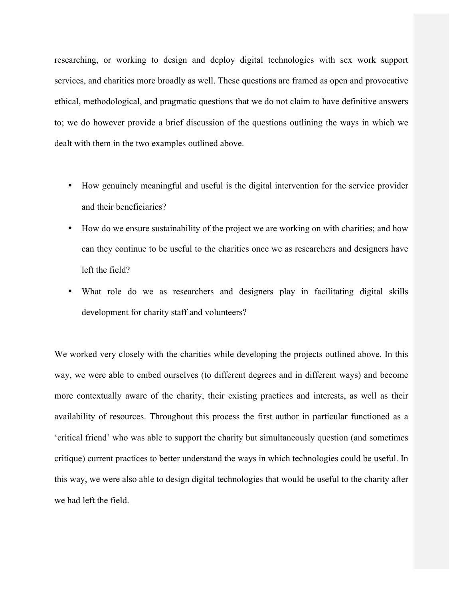researching, or working to design and deploy digital technologies with sex work support services, and charities more broadly as well. These questions are framed as open and provocative ethical, methodological, and pragmatic questions that we do not claim to have definitive answers to; we do however provide a brief discussion of the questions outlining the ways in which we dealt with them in the two examples outlined above.

- How genuinely meaningful and useful is the digital intervention for the service provider and their beneficiaries?
- How do we ensure sustainability of the project we are working on with charities; and how can they continue to be useful to the charities once we as researchers and designers have left the field?
- What role do we as researchers and designers play in facilitating digital skills development for charity staff and volunteers?

We worked very closely with the charities while developing the projects outlined above. In this way, we were able to embed ourselves (to different degrees and in different ways) and become more contextually aware of the charity, their existing practices and interests, as well as their availability of resources. Throughout this process the first author in particular functioned as a 'critical friend' who was able to support the charity but simultaneously question (and sometimes critique) current practices to better understand the ways in which technologies could be useful. In this way, we were also able to design digital technologies that would be useful to the charity after we had left the field.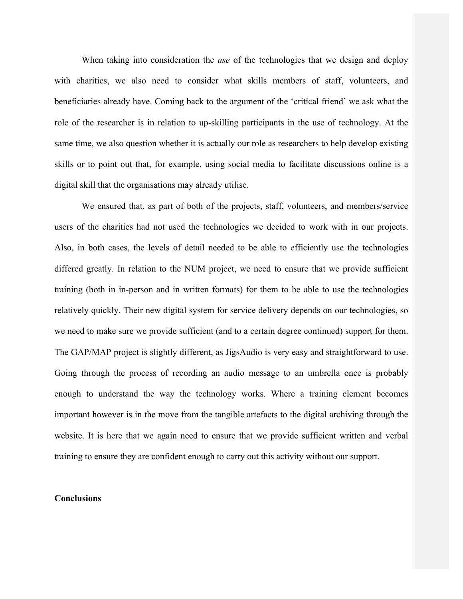When taking into consideration the *use* of the technologies that we design and deploy with charities, we also need to consider what skills members of staff, volunteers, and beneficiaries already have. Coming back to the argument of the 'critical friend' we ask what the role of the researcher is in relation to up-skilling participants in the use of technology. At the same time, we also question whether it is actually our role as researchers to help develop existing skills or to point out that, for example, using social media to facilitate discussions online is a digital skill that the organisations may already utilise.

We ensured that, as part of both of the projects, staff, volunteers, and members/service users of the charities had not used the technologies we decided to work with in our projects. Also, in both cases, the levels of detail needed to be able to efficiently use the technologies differed greatly. In relation to the NUM project, we need to ensure that we provide sufficient training (both in in-person and in written formats) for them to be able to use the technologies relatively quickly. Their new digital system for service delivery depends on our technologies, so we need to make sure we provide sufficient (and to a certain degree continued) support for them. The GAP/MAP project is slightly different, as JigsAudio is very easy and straightforward to use. Going through the process of recording an audio message to an umbrella once is probably enough to understand the way the technology works. Where a training element becomes important however is in the move from the tangible artefacts to the digital archiving through the website. It is here that we again need to ensure that we provide sufficient written and verbal training to ensure they are confident enough to carry out this activity without our support.

### **Conclusions**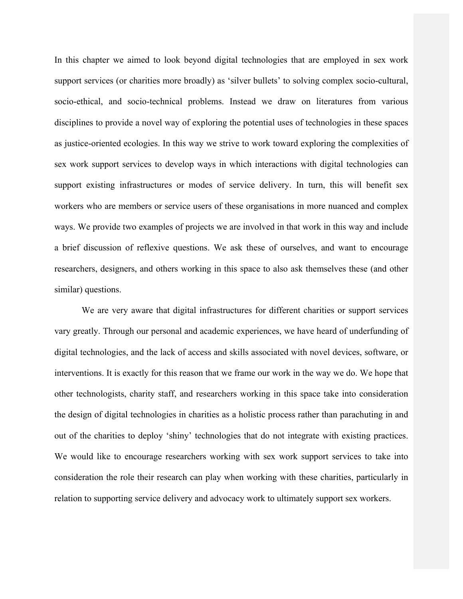In this chapter we aimed to look beyond digital technologies that are employed in sex work support services (or charities more broadly) as 'silver bullets' to solving complex socio-cultural, socio-ethical, and socio-technical problems. Instead we draw on literatures from various disciplines to provide a novel way of exploring the potential uses of technologies in these spaces as justice-oriented ecologies. In this way we strive to work toward exploring the complexities of sex work support services to develop ways in which interactions with digital technologies can support existing infrastructures or modes of service delivery. In turn, this will benefit sex workers who are members or service users of these organisations in more nuanced and complex ways. We provide two examples of projects we are involved in that work in this way and include a brief discussion of reflexive questions. We ask these of ourselves, and want to encourage researchers, designers, and others working in this space to also ask themselves these (and other similar) questions.

We are very aware that digital infrastructures for different charities or support services vary greatly. Through our personal and academic experiences, we have heard of underfunding of digital technologies, and the lack of access and skills associated with novel devices, software, or interventions. It is exactly for this reason that we frame our work in the way we do. We hope that other technologists, charity staff, and researchers working in this space take into consideration the design of digital technologies in charities as a holistic process rather than parachuting in and out of the charities to deploy 'shiny' technologies that do not integrate with existing practices. We would like to encourage researchers working with sex work support services to take into consideration the role their research can play when working with these charities, particularly in relation to supporting service delivery and advocacy work to ultimately support sex workers.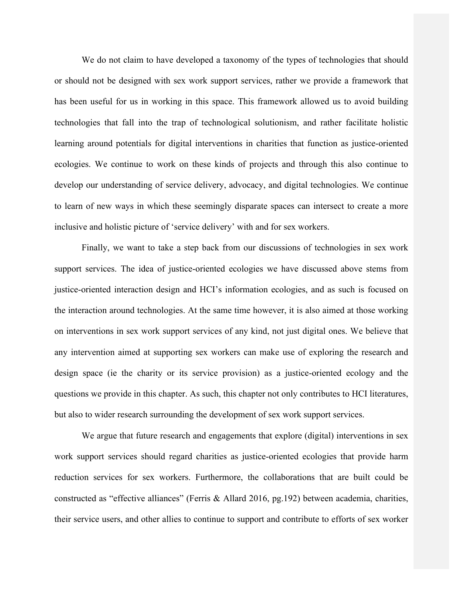We do not claim to have developed a taxonomy of the types of technologies that should or should not be designed with sex work support services, rather we provide a framework that has been useful for us in working in this space. This framework allowed us to avoid building technologies that fall into the trap of technological solutionism, and rather facilitate holistic learning around potentials for digital interventions in charities that function as justice-oriented ecologies. We continue to work on these kinds of projects and through this also continue to develop our understanding of service delivery, advocacy, and digital technologies. We continue to learn of new ways in which these seemingly disparate spaces can intersect to create a more inclusive and holistic picture of 'service delivery' with and for sex workers.

Finally, we want to take a step back from our discussions of technologies in sex work support services. The idea of justice-oriented ecologies we have discussed above stems from justice-oriented interaction design and HCI's information ecologies, and as such is focused on the interaction around technologies. At the same time however, it is also aimed at those working on interventions in sex work support services of any kind, not just digital ones. We believe that any intervention aimed at supporting sex workers can make use of exploring the research and design space (ie the charity or its service provision) as a justice-oriented ecology and the questions we provide in this chapter. As such, this chapter not only contributes to HCI literatures, but also to wider research surrounding the development of sex work support services.

We argue that future research and engagements that explore (digital) interventions in sex work support services should regard charities as justice-oriented ecologies that provide harm reduction services for sex workers. Furthermore, the collaborations that are built could be constructed as "effective alliances" (Ferris & Allard 2016, pg.192) between academia, charities, their service users, and other allies to continue to support and contribute to efforts of sex worker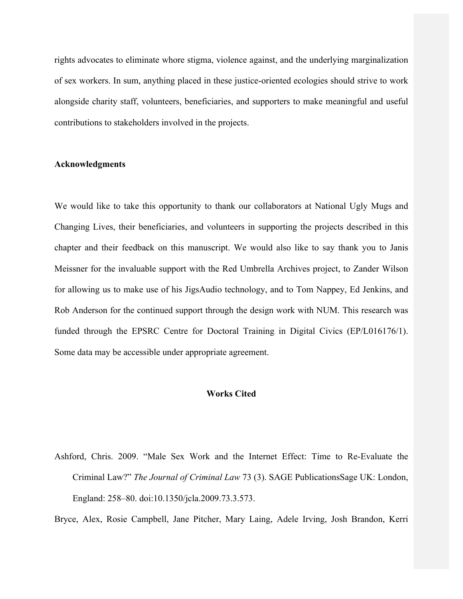rights advocates to eliminate whore stigma, violence against, and the underlying marginalization of sex workers. In sum, anything placed in these justice-oriented ecologies should strive to work alongside charity staff, volunteers, beneficiaries, and supporters to make meaningful and useful contributions to stakeholders involved in the projects.

# **Acknowledgments**

We would like to take this opportunity to thank our collaborators at National Ugly Mugs and Changing Lives, their beneficiaries, and volunteers in supporting the projects described in this chapter and their feedback on this manuscript. We would also like to say thank you to Janis Meissner for the invaluable support with the Red Umbrella Archives project, to Zander Wilson for allowing us to make use of his JigsAudio technology, and to Tom Nappey, Ed Jenkins, and Rob Anderson for the continued support through the design work with NUM. This research was funded through the EPSRC Centre for Doctoral Training in Digital Civics (EP/L016176/1). Some data may be accessible under appropriate agreement.

#### **Works Cited**

Ashford, Chris. 2009. "Male Sex Work and the Internet Effect: Time to Re-Evaluate the Criminal Law?" *The Journal of Criminal Law* 73 (3). SAGE PublicationsSage UK: London, England: 258–80. doi:10.1350/jcla.2009.73.3.573.

Bryce, Alex, Rosie Campbell, Jane Pitcher, Mary Laing, Adele Irving, Josh Brandon, Kerri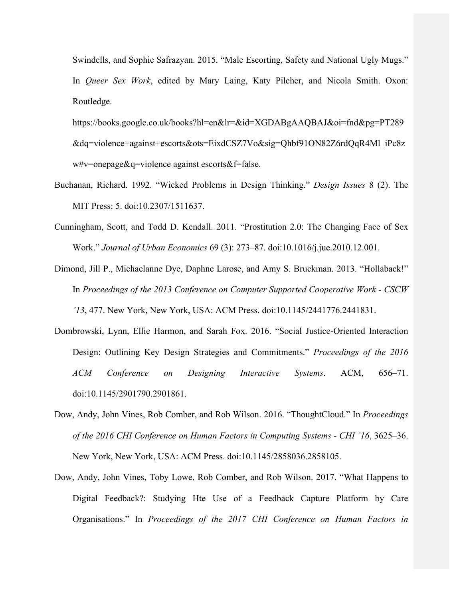Swindells, and Sophie Safrazyan. 2015. "Male Escorting, Safety and National Ugly Mugs." In *Queer Sex Work*, edited by Mary Laing, Katy Pilcher, and Nicola Smith. Oxon: Routledge.

https://books.google.co.uk/books?hl=en&lr=&id=XGDABgAAQBAJ&oi=fnd&pg=PT289 &dq=violence+against+escorts&ots=EixdCSZ7Vo&sig=Qhbf91ON82Z6rdQqR4Ml\_iPc8z w#v=onepage&q=violence against escorts&f=false.

- Buchanan, Richard. 1992. "Wicked Problems in Design Thinking." *Design Issues* 8 (2). The MIT Press: 5. doi:10.2307/1511637.
- Cunningham, Scott, and Todd D. Kendall. 2011. "Prostitution 2.0: The Changing Face of Sex Work." *Journal of Urban Economics* 69 (3): 273–87. doi:10.1016/j.jue.2010.12.001.
- Dimond, Jill P., Michaelanne Dye, Daphne Larose, and Amy S. Bruckman. 2013. "Hollaback!" In *Proceedings of the 2013 Conference on Computer Supported Cooperative Work - CSCW '13*, 477. New York, New York, USA: ACM Press. doi:10.1145/2441776.2441831.
- Dombrowski, Lynn, Ellie Harmon, and Sarah Fox. 2016. "Social Justice-Oriented Interaction Design: Outlining Key Design Strategies and Commitments." *Proceedings of the 2016 ACM Conference on Designing Interactive Systems*. ACM, 656–71. doi:10.1145/2901790.2901861.
- Dow, Andy, John Vines, Rob Comber, and Rob Wilson. 2016. "ThoughtCloud." In *Proceedings of the 2016 CHI Conference on Human Factors in Computing Systems - CHI '16*, 3625–36. New York, New York, USA: ACM Press. doi:10.1145/2858036.2858105.
- Dow, Andy, John Vines, Toby Lowe, Rob Comber, and Rob Wilson. 2017. "What Happens to Digital Feedback?: Studying Hte Use of a Feedback Capture Platform by Care Organisations." In *Proceedings of the 2017 CHI Conference on Human Factors in*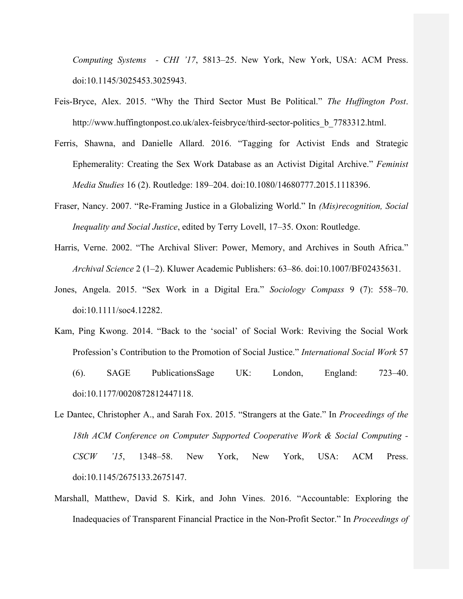*Computing Systems - CHI '17*, 5813–25. New York, New York, USA: ACM Press. doi:10.1145/3025453.3025943.

- Feis-Bryce, Alex. 2015. "Why the Third Sector Must Be Political." *The Huffington Post*. http://www.huffingtonpost.co.uk/alex-feisbryce/third-sector-politics b 7783312.html.
- Ferris, Shawna, and Danielle Allard. 2016. "Tagging for Activist Ends and Strategic Ephemerality: Creating the Sex Work Database as an Activist Digital Archive." *Feminist Media Studies* 16 (2). Routledge: 189–204. doi:10.1080/14680777.2015.1118396.
- Fraser, Nancy. 2007. "Re-Framing Justice in a Globalizing World." In *(Mis)recognition, Social Inequality and Social Justice*, edited by Terry Lovell, 17–35. Oxon: Routledge.
- Harris, Verne. 2002. "The Archival Sliver: Power, Memory, and Archives in South Africa." *Archival Science* 2 (1–2). Kluwer Academic Publishers: 63–86. doi:10.1007/BF02435631.
- Jones, Angela. 2015. "Sex Work in a Digital Era." *Sociology Compass* 9 (7): 558–70. doi:10.1111/soc4.12282.
- Kam, Ping Kwong. 2014. "Back to the 'social' of Social Work: Reviving the Social Work Profession's Contribution to the Promotion of Social Justice." *International Social Work* 57 (6). SAGE PublicationsSage UK: London, England: 723–40. doi:10.1177/0020872812447118.
- Le Dantec, Christopher A., and Sarah Fox. 2015. "Strangers at the Gate." In *Proceedings of the 18th ACM Conference on Computer Supported Cooperative Work & Social Computing - CSCW '15*, 1348–58. New York, New York, USA: ACM Press. doi:10.1145/2675133.2675147.
- Marshall, Matthew, David S. Kirk, and John Vines. 2016. "Accountable: Exploring the Inadequacies of Transparent Financial Practice in the Non-Profit Sector." In *Proceedings of*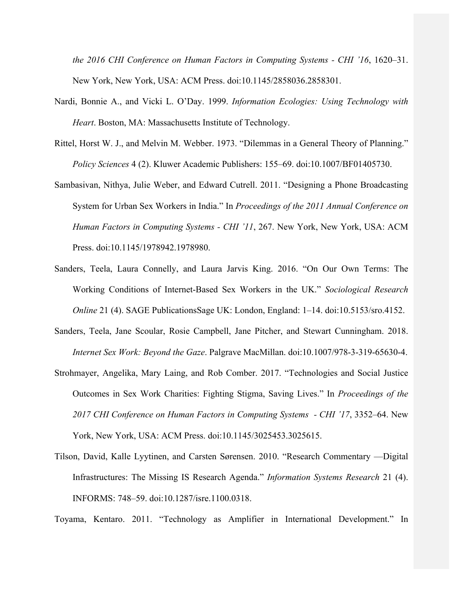*the 2016 CHI Conference on Human Factors in Computing Systems - CHI '16*, 1620–31. New York, New York, USA: ACM Press. doi:10.1145/2858036.2858301.

- Nardi, Bonnie A., and Vicki L. O'Day. 1999. *Information Ecologies: Using Technology with Heart*. Boston, MA: Massachusetts Institute of Technology.
- Rittel, Horst W. J., and Melvin M. Webber. 1973. "Dilemmas in a General Theory of Planning." *Policy Sciences* 4 (2). Kluwer Academic Publishers: 155–69. doi:10.1007/BF01405730.
- Sambasivan, Nithya, Julie Weber, and Edward Cutrell. 2011. "Designing a Phone Broadcasting System for Urban Sex Workers in India." In *Proceedings of the 2011 Annual Conference on Human Factors in Computing Systems - CHI '11*, 267. New York, New York, USA: ACM Press. doi:10.1145/1978942.1978980.
- Sanders, Teela, Laura Connelly, and Laura Jarvis King. 2016. "On Our Own Terms: The Working Conditions of Internet-Based Sex Workers in the UK." *Sociological Research Online* 21 (4). SAGE Publications Sage UK: London, England: 1–14. doi:10.5153/sro.4152.
- Sanders, Teela, Jane Scoular, Rosie Campbell, Jane Pitcher, and Stewart Cunningham. 2018. *Internet Sex Work: Beyond the Gaze*. Palgrave MacMillan. doi:10.1007/978-3-319-65630-4.
- Strohmayer, Angelika, Mary Laing, and Rob Comber. 2017. "Technologies and Social Justice Outcomes in Sex Work Charities: Fighting Stigma, Saving Lives." In *Proceedings of the 2017 CHI Conference on Human Factors in Computing Systems - CHI '17*, 3352–64. New York, New York, USA: ACM Press. doi:10.1145/3025453.3025615.
- Tilson, David, Kalle Lyytinen, and Carsten Sørensen. 2010. "Research Commentary —Digital Infrastructures: The Missing IS Research Agenda." *Information Systems Research* 21 (4). INFORMS: 748–59. doi:10.1287/isre.1100.0318.

Toyama, Kentaro. 2011. "Technology as Amplifier in International Development." In